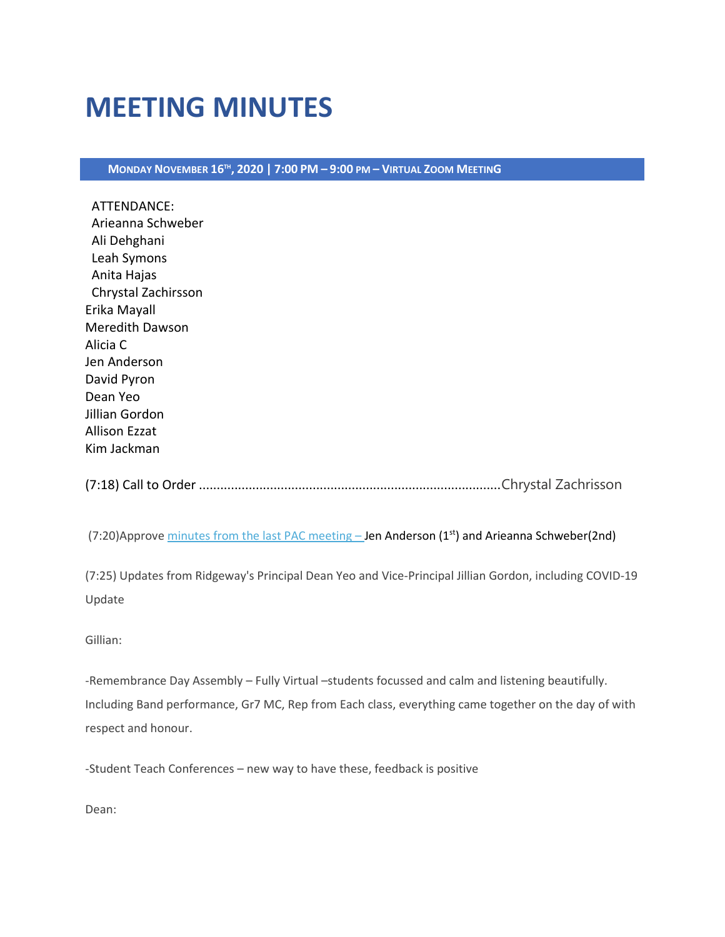## **MEETING MINUTES**

MONDAY NOVEMBER  $16^{\text{th}}$ , 2020 | 7:00 PM – 9:00 PM – VIRTUAL ZOOM MEETING

| ATTENDANCE:<br>Arieanna Schweber<br>Ali Dehghani<br>Leah Symons<br>Anita Hajas<br>Chrystal Zachirsson |  |  |
|-------------------------------------------------------------------------------------------------------|--|--|
| Erika Mayall                                                                                          |  |  |
| <b>Meredith Dawson</b>                                                                                |  |  |
| Alicia C                                                                                              |  |  |
| Jen Anderson                                                                                          |  |  |
| David Pyron                                                                                           |  |  |
| Dean Yeo                                                                                              |  |  |
| Jillian Gordon                                                                                        |  |  |
| <b>Allison Ezzat</b>                                                                                  |  |  |
| Kim Jackman                                                                                           |  |  |

(7:18) Call to Order .....................................................................................Chrystal Zachrisson

(7:20)Approve minutes from the last PAC meeting – Jen Anderson (1st) and Arieanna Schweber(2nd)

(7:25) Updates from Ridgeway's Principal Dean Yeo and Vice-Principal Jillian Gordon, including COVID-19 Update

Gillian:

-Remembrance Day Assembly – Fully Virtual –students focussed and calm and listening beautifully. Including Band performance, Gr7 MC, Rep from Each class, everything came together on the day of with respect and honour.

-Student Teach Conferences – new way to have these, feedback is positive

Dean: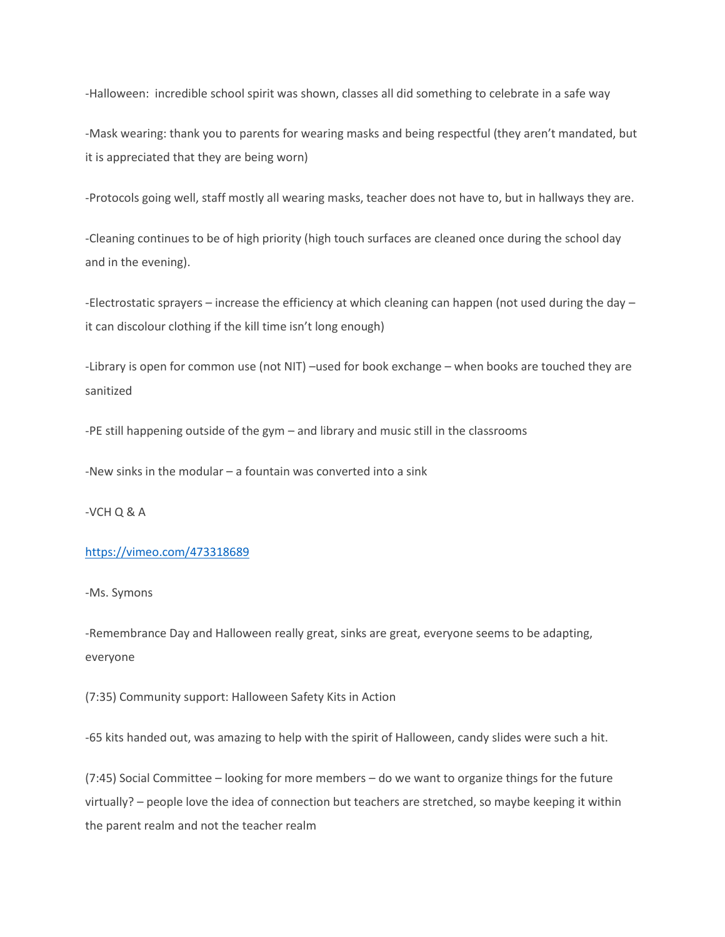-Halloween: incredible school spirit was shown, classes all did something to celebrate in a safe way

-Mask wearing: thank you to parents for wearing masks and being respectful (they aren't mandated, but it is appreciated that they are being worn)

-Protocols going well, staff mostly all wearing masks, teacher does not have to, but in hallways they are.

-Cleaning continues to be of high priority (high touch surfaces are cleaned once during the school day and in the evening).

-Electrostatic sprayers – increase the efficiency at which cleaning can happen (not used during the day – it can discolour clothing if the kill time isn't long enough)

-Library is open for common use (not NIT) –used for book exchange – when books are touched they are sanitized

-PE still happening outside of the gym – and library and music still in the classrooms

-New sinks in the modular – a fountain was converted into a sink

-VCH Q & A

## <https://vimeo.com/473318689>

-Ms. Symons

-Remembrance Day and Halloween really great, sinks are great, everyone seems to be adapting, everyone

(7:35) Community support: Halloween Safety Kits in Action

-65 kits handed out, was amazing to help with the spirit of Halloween, candy slides were such a hit.

(7:45) Social Committee – looking for more members – do we want to organize things for the future virtually? – people love the idea of connection but teachers are stretched, so maybe keeping it within the parent realm and not the teacher realm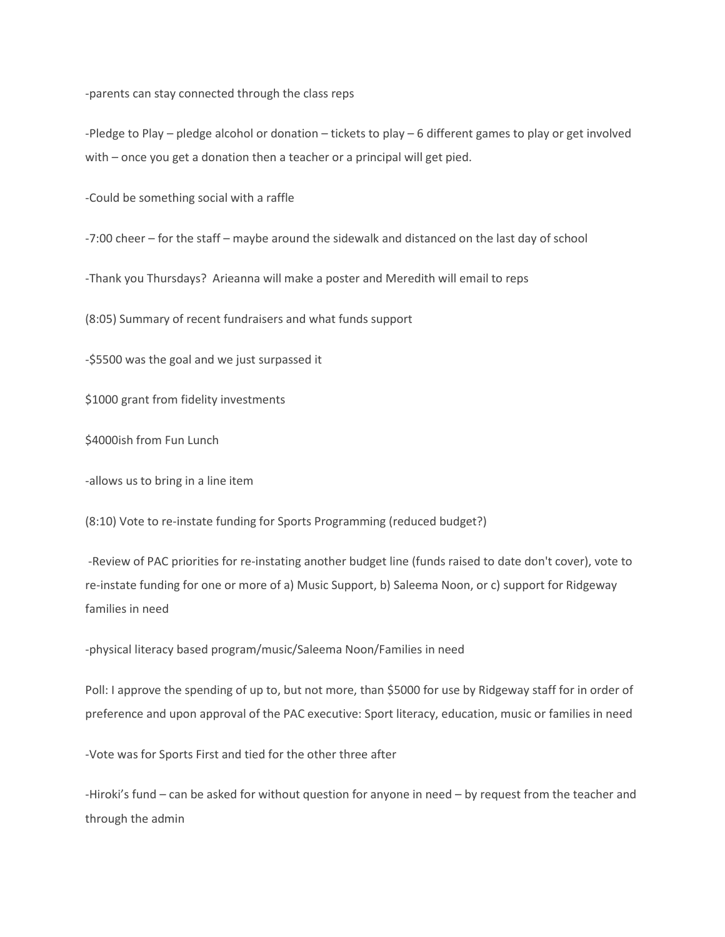-parents can stay connected through the class reps

-Pledge to Play – pledge alcohol or donation – tickets to play – 6 different games to play or get involved with – once you get a donation then a teacher or a principal will get pied.

-Could be something social with a raffle

-7:00 cheer – for the staff – maybe around the sidewalk and distanced on the last day of school

-Thank you Thursdays? Arieanna will make a poster and Meredith will email to reps

(8:05) Summary of recent fundraisers and what funds support

-\$5500 was the goal and we just surpassed it

\$1000 grant from fidelity investments

\$4000ish from Fun Lunch

-allows us to bring in a line item

(8:10) Vote to re-instate funding for Sports Programming (reduced budget?)

-Review of PAC priorities for re-instating another budget line (funds raised to date don't cover), vote to re-instate funding for one or more of a) Music Support, b) Saleema Noon, or c) support for Ridgeway families in need

-physical literacy based program/music/Saleema Noon/Families in need

Poll: I approve the spending of up to, but not more, than \$5000 for use by Ridgeway staff for in order of preference and upon approval of the PAC executive: Sport literacy, education, music or families in need

-Vote was for Sports First and tied for the other three after

-Hiroki's fund – can be asked for without question for anyone in need – by request from the teacher and through the admin